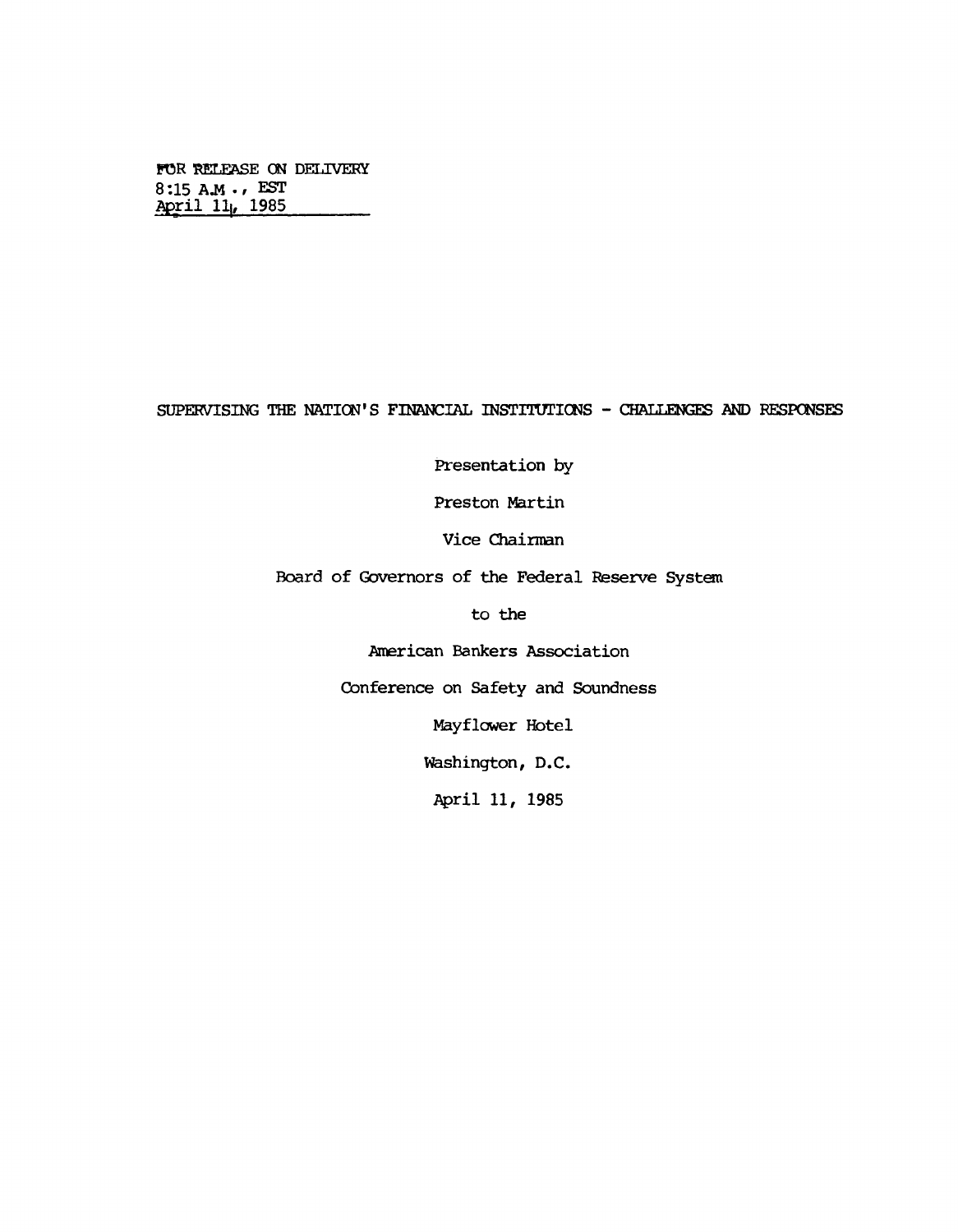**FOR RELEASE ON DELIVERY 8 :15 AJ4 • / EST April 11|, 1985\_\_\_\_\_\_\_\_**

## **SUPERVISING THE NATION'S FINANCIAL INSTITUTIONS - CHALLENGES AND RESPONSES**

**Presentation by**

**Preston Martin**

**Vice Chairnan**

**Board of Governors of the Federal Reserve System**

**to the**

**American Bankers Association**

**Conference on Safety and Soundness**

**Mayflower Hotel**

**Washington, D.C.**

**April 11, 1985**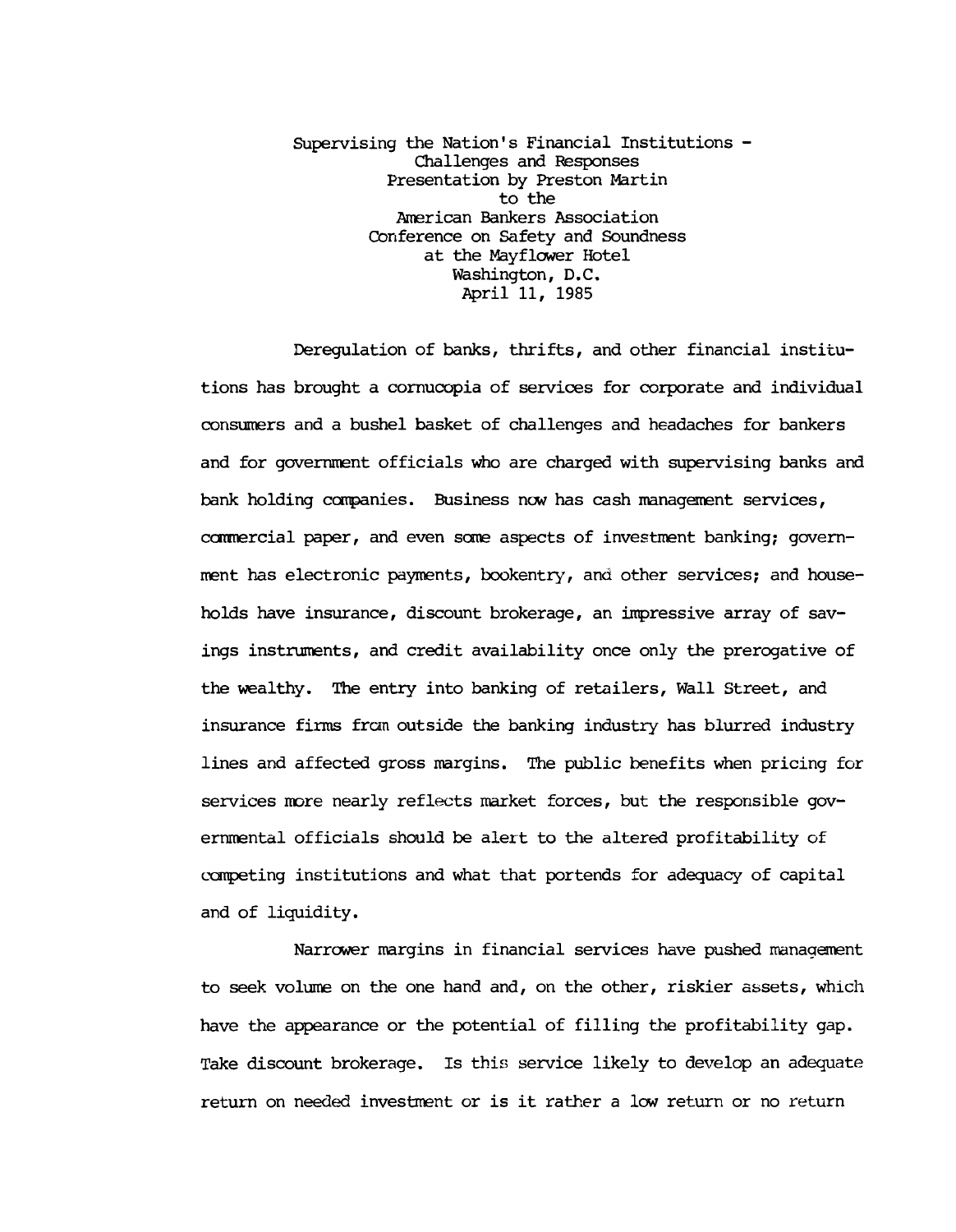**Supervising the Nation's Financial Institutions - Challenges and Responses Presentation by Preston Martin to the American Bankers Association Conference on Safety and Soundness at the Mayflower Hotel Washington, D.C. April 11, 1985**

**Deregulation of banks, thrifts, and other financial institutions has brought a cornucopia of services for corporate and individual consumers and a bushel basket of challenges and headaches for bankers and for government officials who are charged with supervising banks and bank holding companies. Business now has cash management services, camiercial paper, and even some aspects of investment banking; government has electronic payments, bookentry, and other services; and households have insurance, discount brokerage, an impressive array of savings instruments, and credit availability once only the prerogative of the wealthy. The entry into banking of retailers, Wall Street, and insurance firms fran outside the banking industry has blurred industry lines and affected gross margins. The public benefits when pricing for services more nearly reflects market forces, but the responsible governmental officials should be alert to the altered profitability of carpeting institutions and what that portends for adequacy of capital and of liquidity.**

**Narrower margins in financial services have pushed management to seek volume on the one hand and, on the other, riskier assets, which have the appearance or the potential of filling the profitability gap. Take discount brokerage. Is this service likely to develop an adequate return on needed investment or is it rather a low return or no return**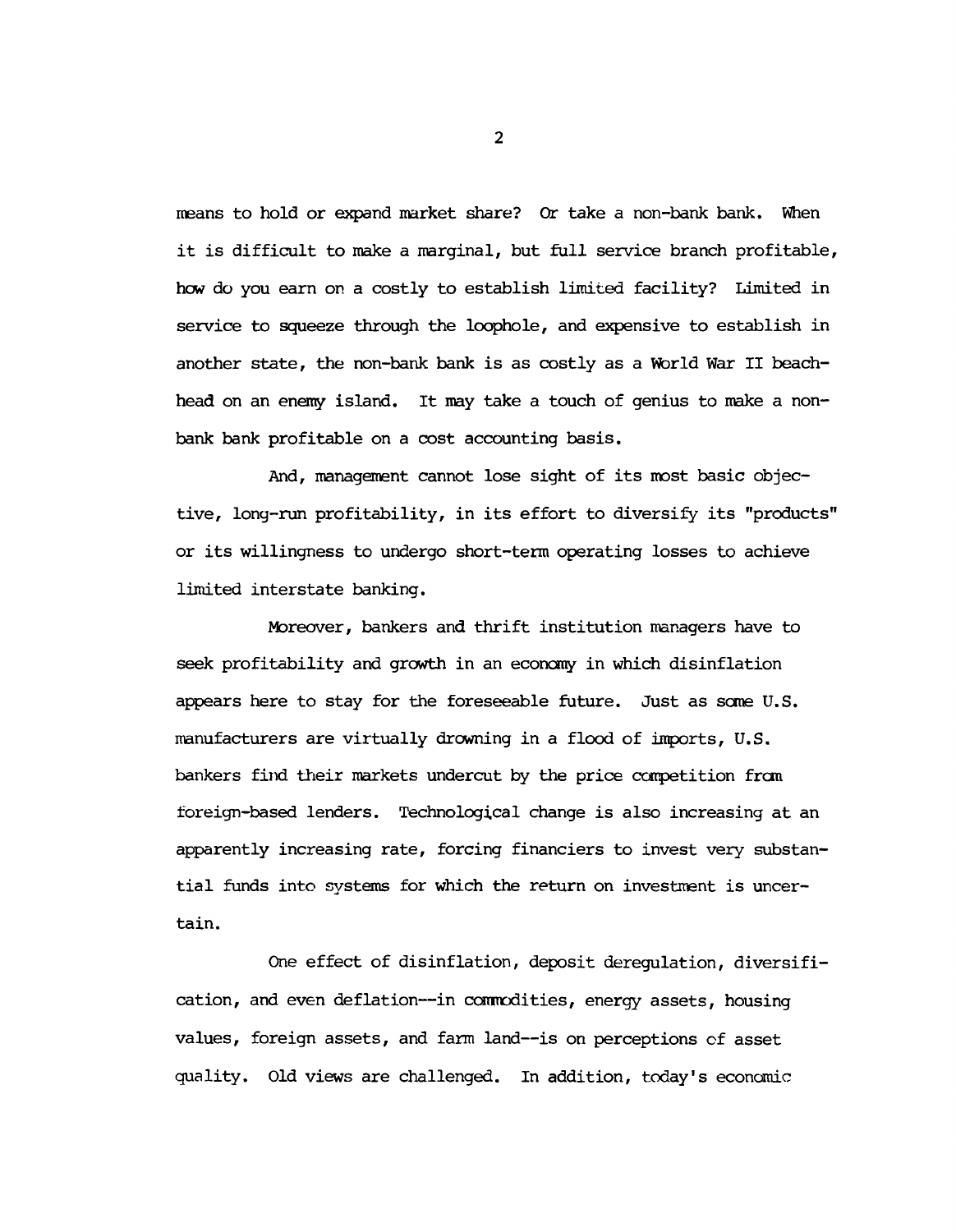**means to hold or expand market share? Or take a non-bank bank. When it is difficult to make a marginal, but full service branch profitable, hew do you earn on a costly to establish limited facility? Limited in service to squeeze through the loophole, and expensive to establish in another state, the non-bank bank is as costly as a World War II beachhead on an enemy island. It may take a touch of genius to make a nonbank bank profitable on a cost accounting basis.**

**And, management cannot lose sight of its most basic objective, long-run profitability, in its effort to diversify its "products" or its willingness to undergo short-term operating losses to achieve limited interstate banking.**

**Moreover, bankers and thrift institution managers have to seek profitability and growth in an economy in which disinflation appears here to stay for the foreseeable future. Just as some U.S. manufacturers are virtually drowning in a flood of inports, U.S. bankers find their markets undercut by the price competition from foreign-based lenders. Technological change is also increasing at an apparently increasing rate, forcing financiers to invest very substantial funds into systems for which the return on investment is uncertain.**

**One effect of disinflation, deposit deregulation, diversification, and even deflation— in commodities, energy assets, housing values, foreign assets, and farm land— is on perceptions of asset quality. Old views are challenged. In addition, today's economic**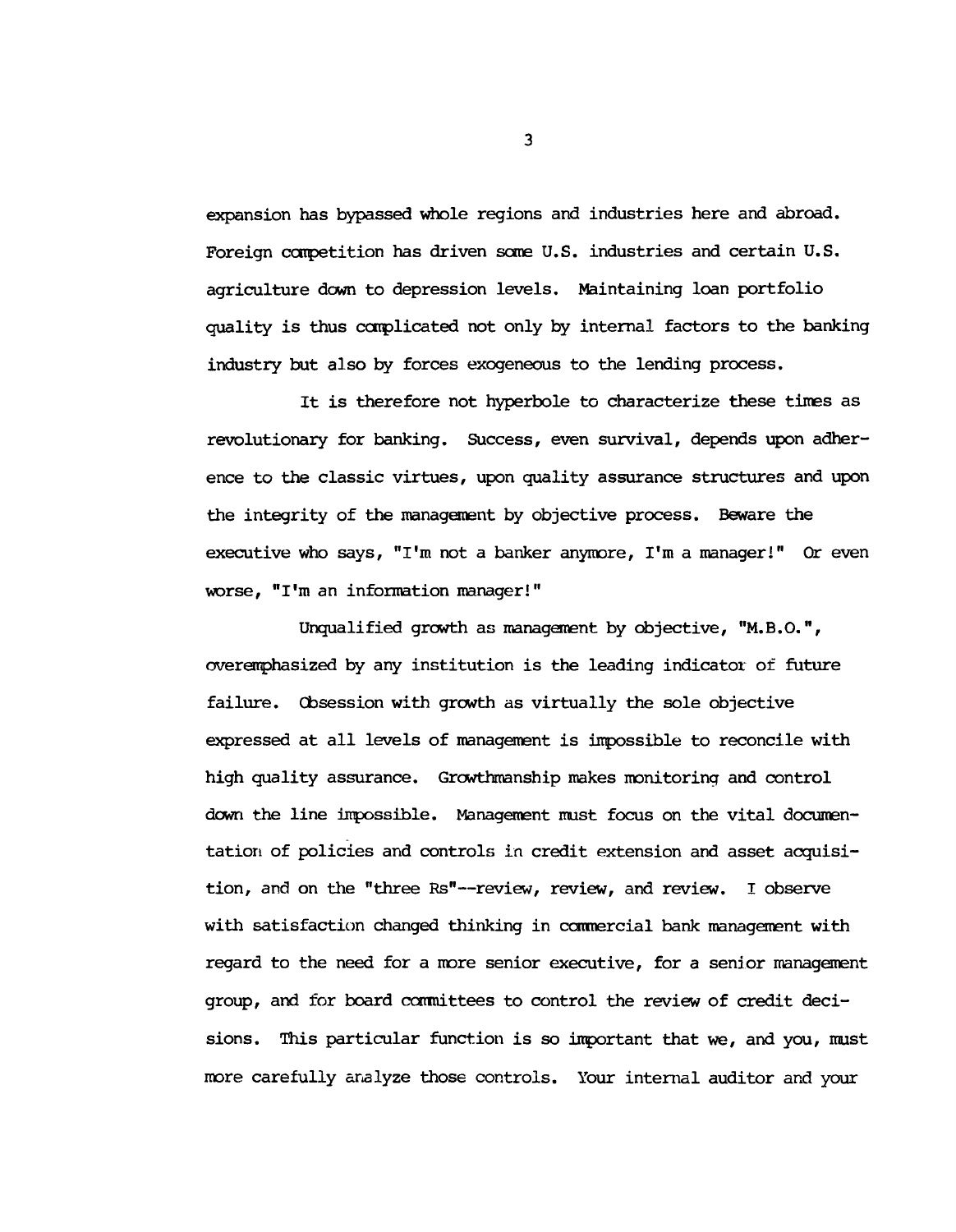**expansion has bypassed whole regions and industries here and abroad. Foreign competition has driven seme U.S. industries and certain U.S. agriculture down to depression levels. Maintaining loan portfolio quality is thus complicated not only by internal factors to the banking industry but also by forces exogeneous to the lending process.**

**It is therefore not hyperbole to characterize these tines as revolutionary for banking. Success, even survival, depends upon adherence to the classic virtues, upon quality assurance structures and upon the integrity of the management by objective process. Beware the executive who says, "I'm not a banker anymore, I'm a manager!" Or even worse, "I'm an information manager!"**

**Unqualified growth as management by objective, "M.B.O.", overemphasized by any institution is the leading indicator of future failure. Obsession with growth as virtually the sole objective expressed at all levels of management is impossible to reconcile with high quality assurance. Grcwthmanship makes monitoring and control down the line inpossible. Management must focus on the vital documentation of policies and controls in credit extension and asset acquisition, and on the "three Rs"— review, review, and review. I observe with satisfaction changed thinking in commercial bank management with regard to the need for a more senior executive, for a senior management group, and for board connittees to control the review of credit decisions. This particular function is so inportant that we, and you, must more carefully analyze those controls. Your internal auditor and your**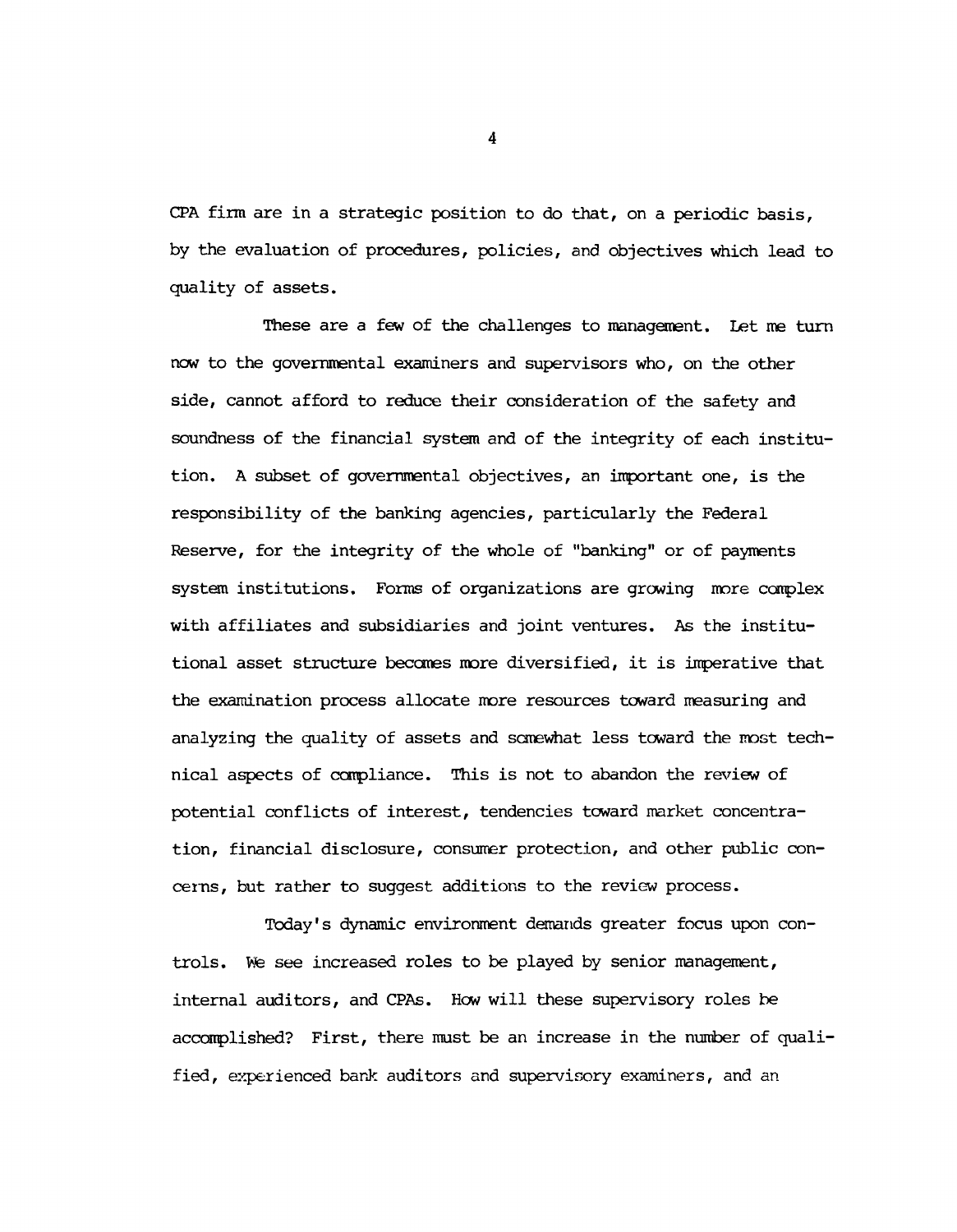**CPA firm are in a strategic position to do that, on a periodic basis, by the evaluation of procedures, policies, and objectives which lead to quality of assets.**

**These are a few of the challenges to management. Let me turn now to the governmental examiners and supervisors who, on the other side, cannot afford to reduce their consideration of the safety and soundness of the financial system and of the integrity of each institution. A subset of governmental objectives, an important one, is the responsibility of the banking agencies, particularly the Federal Reserve, for the integrity of the whole of "banking" or of payments system institutions. Forms of organizations are growing more complex with affiliates and subsidiaries and joint ventures. As the institutional asset structure becomes more diversified, it is imperative that the examination process allocate more resources toward measuring and analyzing the quality of assets and somewhat less toward the most technical aspects of compliance. This is not to abandon the review of potential conflicts of interest, tendencies toward market concentration, financial disclosure, consumer protection, and other public concerns, but rather to suggest additions to the review process.**

**Today's dynamic environment demands greater focus upon controls. We see increased roles to be played by senior management, internal auditors, and CPAs. How will these supervisory roles be accomplished? First, there must be an increase in the number of qualified, experienced bank auditors and supervisory examiners, and an**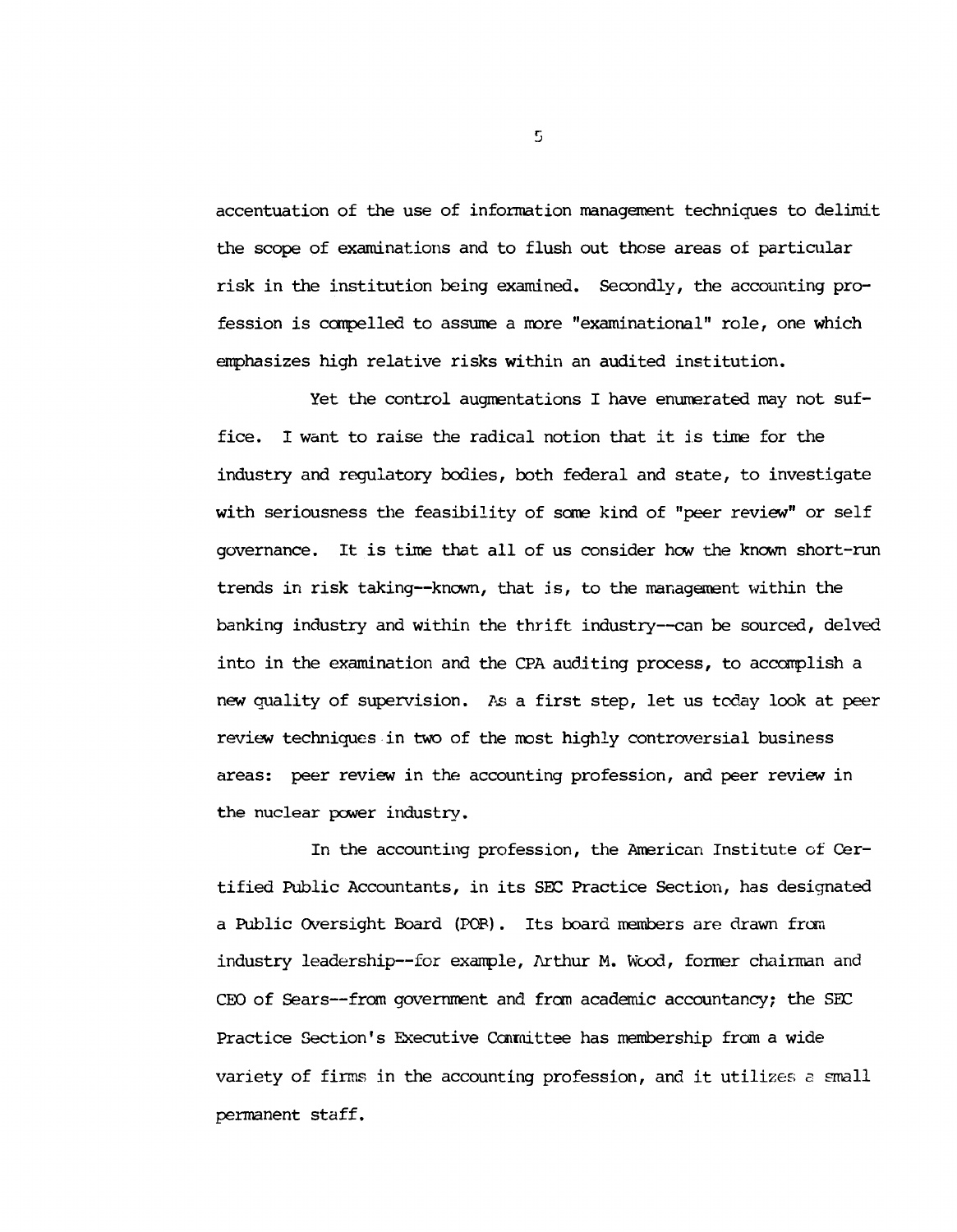**accentuation of the use of information management techniques to delimit the scope of examinations and to flush out those areas of particular risk in the institution being examined. Secondly, the accounting profession is compelled to assume a more "examinational" role, one which emphasizes high relative risks within an audited institution.**

**Yet the control augmentations I have enumerated may not suffice. I want to raise the radical notion that it is time for the industry and regulatory bodies, both federal and state, to investigate with seriousness the feasibility of seme kind of "peer review" or self governance. It is time that all of us consider hew the known short-run trends in risk taking— known, that is, to the management within the banking industry and within the thrift industry— can be sourced, delved into in the examination and the CPA auditing process, to accomplish a new quality of supervision. As a first step, let us today look at peer review techniques in two of the most highly controversial business areas: peer review in the accounting profession, and peer review in the nuclear power industry.**

**In the accounting profession, the American Institute of Certified Public Accountants, in its SBC Practice Section, has designated a Public Oversight Board (POB). Its board members are drawn from industry leadership— for exanple, Arthur M. Wood, former chairman and CEO of Sears— from government and from academic accountancy; the SEC Practice Section's Executive Committee has membership from a wide variety of firms in the accounting profession, and it utilizes** a **small permanent staff.**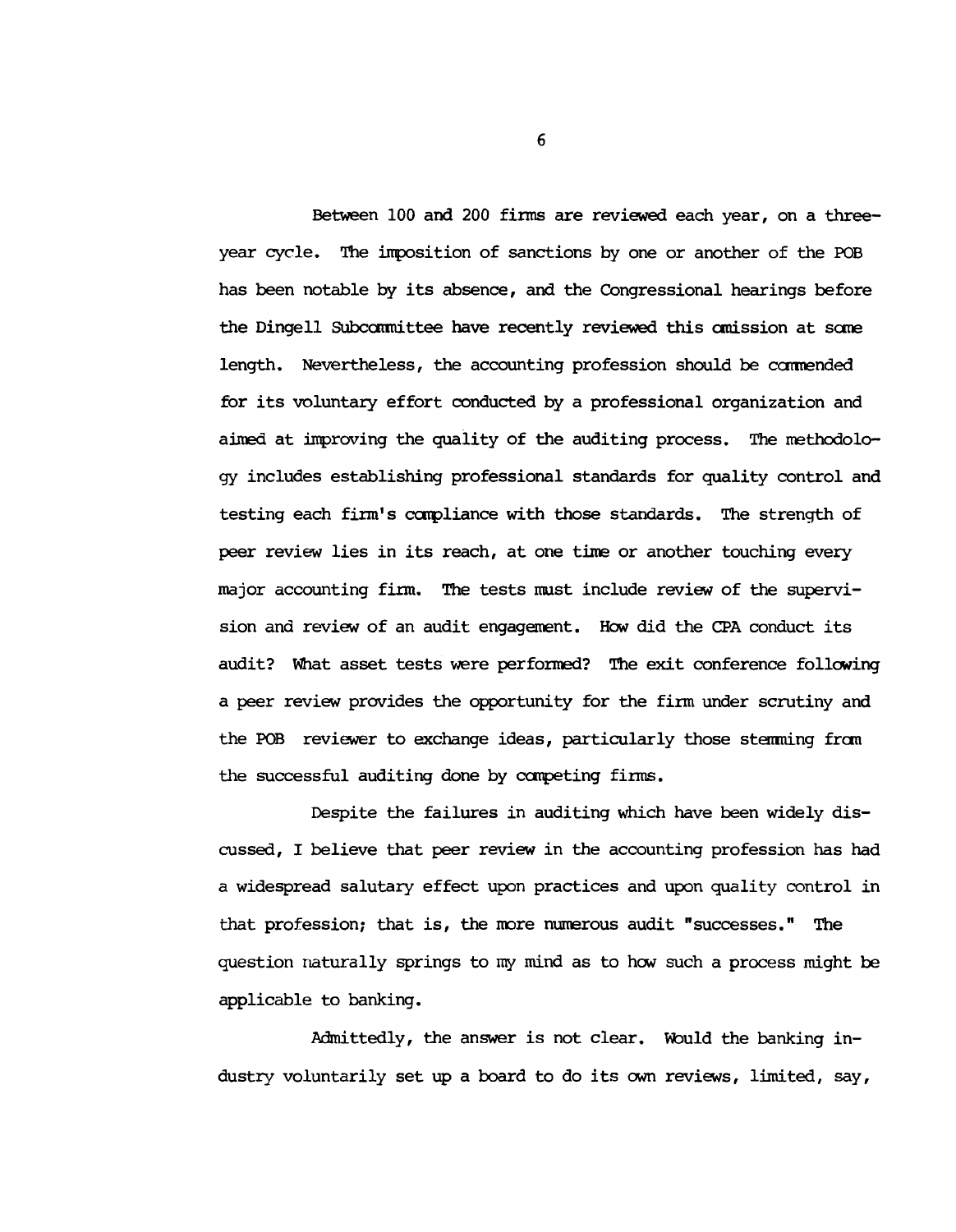**Between 100 and 200 firms are reviewed each year, on a threeyear cycle. The imposition of sanctions by one or another of the POB has been notable by its absence, and the Congressional hearings before the Dingell Subcommittee have recently reviewed this amission at sane length. Nevertheless, the accounting profession should be caimended for its voluntary effort conducted by a professional organization and aimed at improving the quality of the auditing process. The methodology includes establishing professional standards for quality control and testing each firm's ccnpliance with those standards. The strength of peer review lies in its reach, at one time or another touching every major accounting firm. The tests must include review of the supervision and review of an audit engagement. How did the CPA conduct its audit? What asset tests were performed? The exit conference following a peer review provides the opportunity for the firm under scrutiny and** the POB reviewer to exchange ideas, particularly those stemming from **the successful auditing done by carpeting firms.**

**Despite the failures in auditing which have been widely discussed, I believe that peer review in the accounting profession has had a widespread salutary effect upon practices and upon quality control in that profession; that is, the more numerous audit "successes." The question naturally springs to try mind as to hew such a process might be applicable to banking.**

Admittedly, the answer is not clear. Would the banking in**dustry voluntarily set up a board to do its own reviews, limited, say,**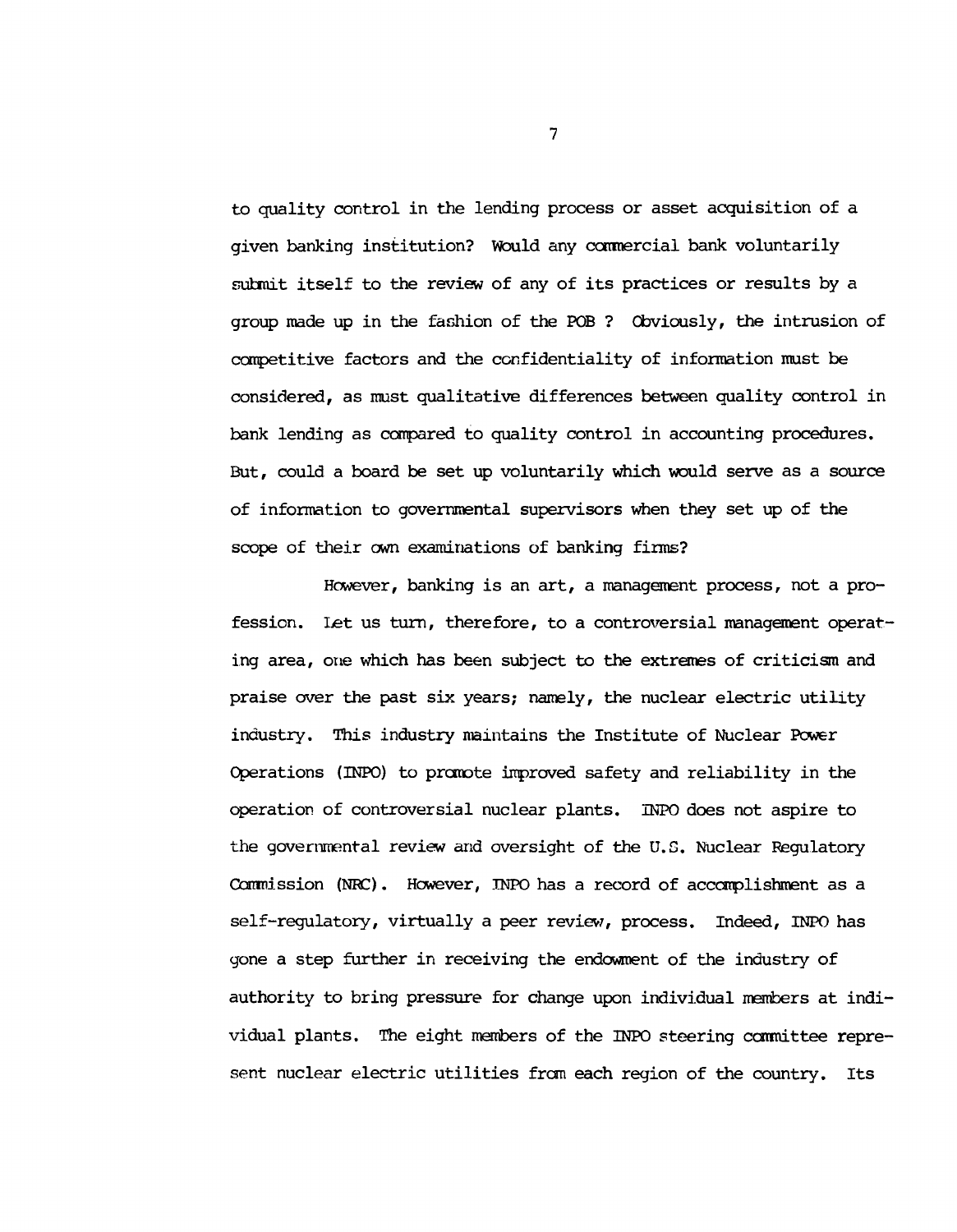**to quality control in the lending process or asset acquisition of a given banking institution? Would any commercial bank voluntarily submit itself to the review of any of its practices or results by a group made up in the fashion of the POB ? Obviously, the intrusion of competitive factors and the confidentiality of information roust be considered, as must qualitative differences between quality control in bank lending as compared to quality control in accounting procedures. But, could a board be set up voluntarily which would serve as a source of information to governmental supervisors when they set up of the scope of their own examinations of banking firms?**

**However, banking is an art, a management process, not a profession. Let us turn, therefore, to a controversial management operating area, one which has been subject to the extremes of criticism and praise over the past six years; namely, the nuclear electric utility industry. This industry maintains the Institute of Nuclear Power Operations (INPO) to promote inproved safety and reliability in the operation of controversial nuclear plants. INPO does not aspire to the governmental review and oversight of the U.S. Nuclear Regulatory** Commission (NRC). However, INPO has a record of accomplishment as a **self-regulatory, virtually a peer review, process. Indeed, INPO has gone a step further in receiving the endowment of the industry of authority to bring pressure for change upon individual members at individual plants. The eight members of the INPO steering ccranittee represent nuclear electric utilities from each region of the country. Its**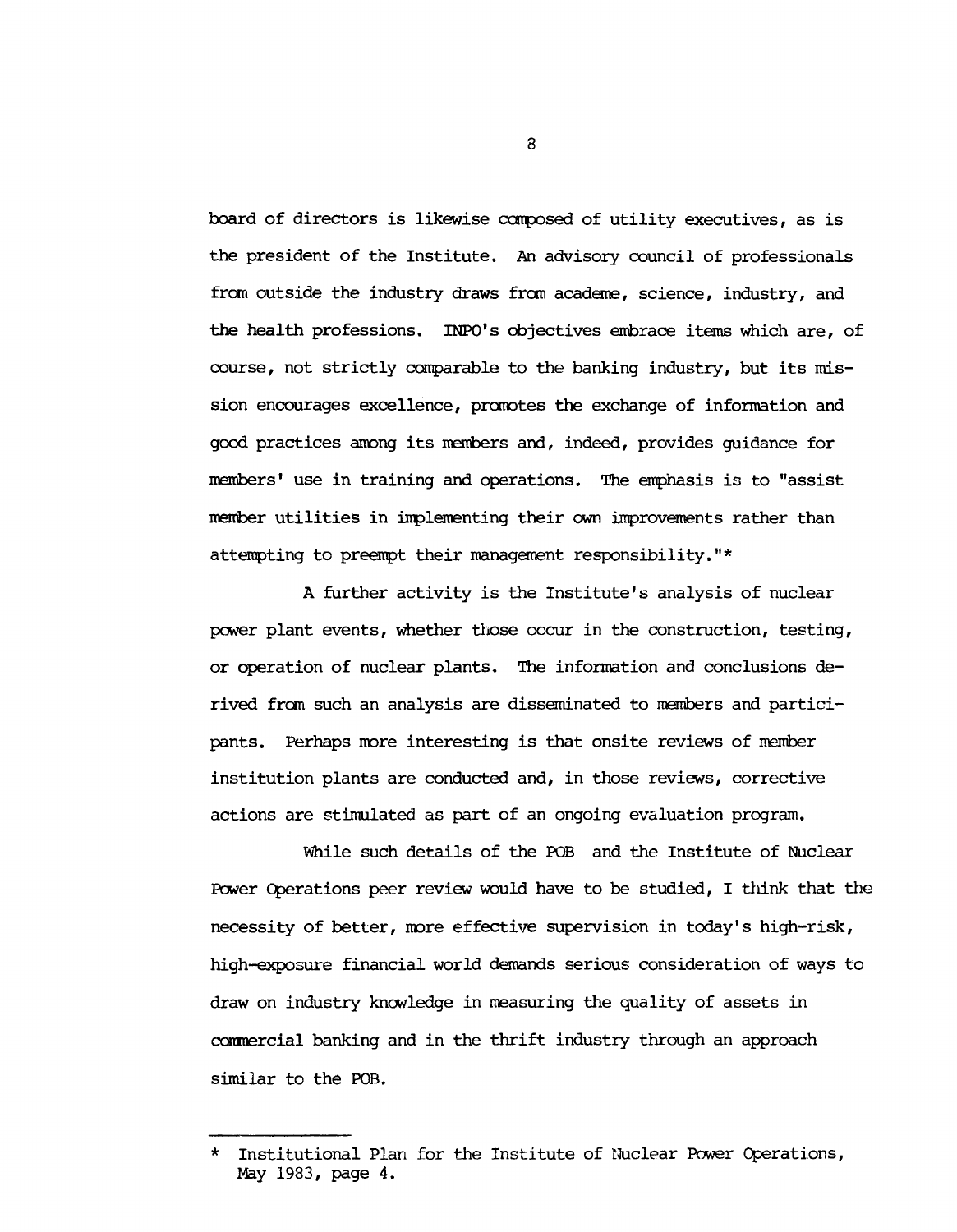**board of directors is likewise composed of utility executives, as is the president of the Institute. An advisory council of professionals from outside the industry draws from academe, science, industry, and the health professions. INPO's objectives embrace items which are, of course, not strictly comparable to the banking industry, but its mission encourages excellence, promotes the exchange of information and good practices among its members and, indeed, provides guidance for members' use in training and operations. The emphasis is to "assist member utilities in implementing their own improvements rather than attempting to preempt their management responsibility."\***

**A further activity is the Institute's analysis of nuclear power plant events, whether those occur in the construction, testing, or operation of nuclear plants. The information and conclusions derived from such an analysis are disseminated to members and participants. Perhaps more interesting is that onsite reviews of member institution plants are conducted and, in those reviews, corrective actions are stimulated as part of an ongoing evaluation program.**

**Vihile such details of the POB and the Institute of Nuclear Power Operations peer review would have to be studied, I think that the necessity of better, more effective supervision in today's high-risk, high-exposure financial world demands serious consideration of ways to draw on industry knowledge in measuring the quality of assets in corrmercial banking and in the thrift industry through an approach similar to the POB.**

**<sup>\*</sup> Institutional Plan for the Institute of Nuclear Power Operations, May 1983, page 4.**